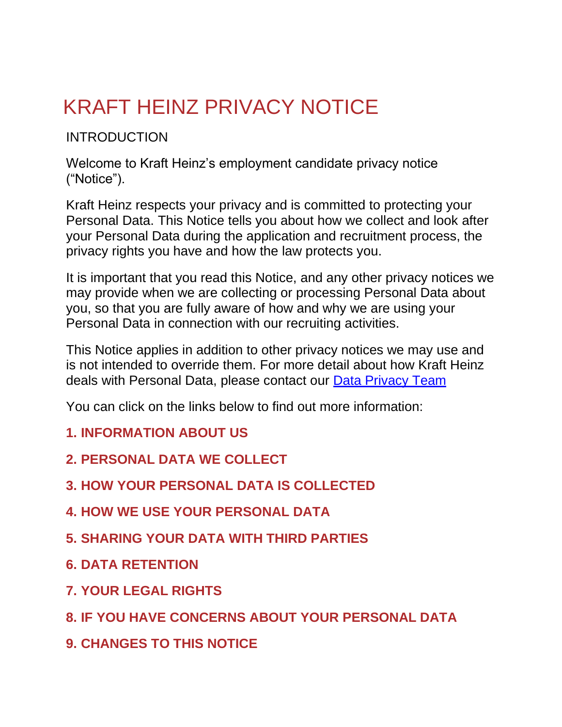# KRAFT HEINZ PRIVACY NOTICE

#### INTRODUCTION

Welcome to Kraft Heinz's employment candidate privacy notice ("Notice").

Kraft Heinz respects your privacy and is committed to protecting your Personal Data. This Notice tells you about how we collect and look after your Personal Data during the application and recruitment process, the privacy rights you have and how the law protects you.

It is important that you read this Notice, and any other privacy notices we may provide when we are collecting or processing Personal Data about you, so that you are fully aware of how and why we are using your Personal Data in connection with our recruiting activities.

This Notice applies in addition to other privacy notices we may use and is not intended to override them. For more detail about how Kraft Heinz deals with Personal Data, please contact our [Data Privacy Team](mailto:GDPR@kraftheinz.com)

You can click on the links below to find out more information:

- **1. [INFORMATION ABOUT](https://www.heinz.eu/privacy-notice#anchor1) US**
- **2. [PERSONAL DATA WE](https://www.heinz.eu/privacy-notice#anchor2) COLLECT**
- **3. [HOW YOUR PERSONAL DATA IS](https://www.heinz.eu/privacy-notice#anchor3) COLLECTED**
- **4. [HOW WE USE YOUR PERSONAL](https://www.heinz.eu/privacy-notice#anchor4) DATA**
- **5. [SHARING YOUR DATA WITH THIRD](https://www.heinz.eu/privacy-notice#anchor5) PARTIES**
- **6. DATA [RETENTION](https://www.heinz.eu/privacy-notice#anchor6)**
- **7. [YOUR LEGAL](https://www.heinz.eu/privacy-notice#anchor7) RIGHTS**
- **8. [IF YOU HAVE CONCERNS ABOUT YOUR PERSONAL](https://www.heinz.eu/privacy-notice#anchor8) DATA**
- **9. [CHANGES TO THIS](https://www.heinz.eu/privacy-notice#anchor9) NOTICE**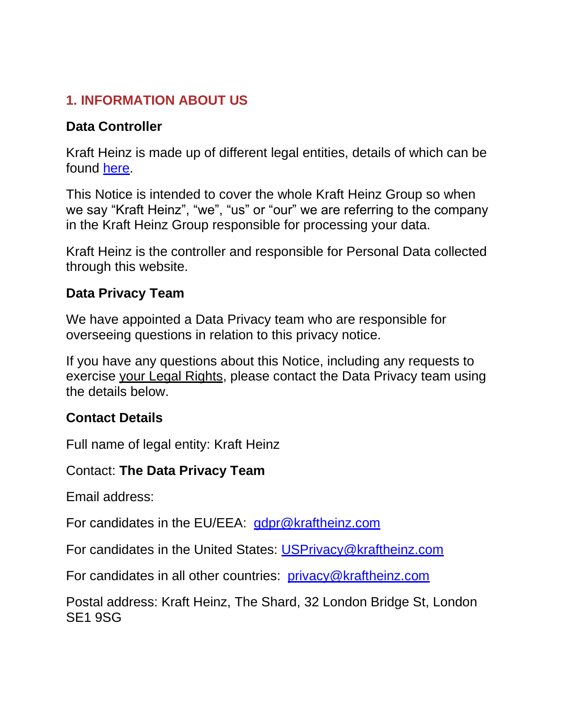#### **1. INFORMATION ABOUT US**

#### **Data Controller**

Kraft Heinz is made up of different legal entities, details of which can be found [here.](https://www.heinz.eu/kraft-heinz-companies-list)

This Notice is intended to cover the whole Kraft Heinz Group so when we say "Kraft Heinz", "we", "us" or "our" we are referring to the company in the Kraft Heinz Group responsible for processing your data.

Kraft Heinz is the controller and responsible for Personal Data collected through this website.

#### **Data Privacy Team**

We have appointed a Data Privacy team who are responsible for overseeing questions in relation to this privacy notice.

If you have any questions about this Notice, including any requests to exercise your Legal Rights, please contact the Data Privacy team using the details below.

#### **Contact Details**

Full name of legal entity: Kraft Heinz

#### Contact: **The Data Privacy Team**

Email address:

For candidates in the EU/EEA: [gdpr@kraftheinz.com](mailto:gdpr@kraftheinz.com)

For candidates in the United States: [USPrivacy@kraftheinz.com](mailto:USPrivacy@kraftheinz.com)

For candidates in all other countries: [privacy@kraftheinz.com](mailto:privacy@kraftheinz.com)

Postal address: Kraft Heinz, The Shard, 32 London Bridge St, London SE1 9SG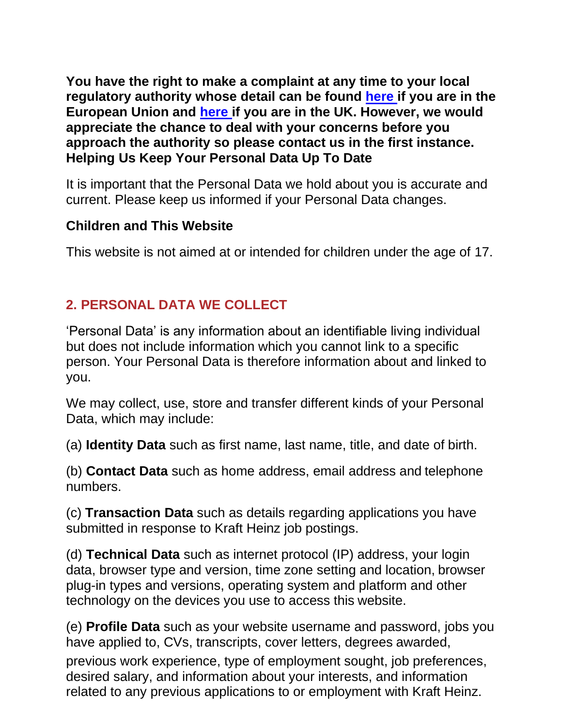**You have the right to make a complaint at any time to your local regulatory authority whose detail can be found [here](https://edpb.europa.eu/about-edpb/about-edpb/members_en) if you are in the European Union and [here](https://ico.org.uk/) if you are in the UK. However, we would appreciate the chance to deal with your concerns before you approach the authority so please contact us in the first instance. Helping Us Keep Your Personal Data Up To Date**

It is important that the Personal Data we hold about you is accurate and current. Please keep us informed if your Personal Data changes.

#### **Children and This Website**

This website is not aimed at or intended for children under the age of 17.

### **2. PERSONAL DATA WE COLLECT**

'Personal Data' is any information about an identifiable living individual but does not include information which you cannot link to a specific person. Your Personal Data is therefore information about and linked to you.

We may collect, use, store and transfer different kinds of your Personal Data, which may include:

(a) **Identity Data** such as first name, last name, title, and date of birth.

(b) **Contact Data** such as home address, email address and telephone numbers.

(c) **Transaction Data** such as details regarding applications you have submitted in response to Kraft Heinz job postings.

(d) **Technical Data** such as internet protocol (IP) address, your login data, browser type and version, time zone setting and location, browser plug-in types and versions, operating system and platform and other technology on the devices you use to access this website.

(e) **Profile Data** such as your website username and password, jobs you have applied to, CVs, transcripts, cover letters, degrees awarded,

previous work experience, type of employment sought, job preferences, desired salary, and information about your interests, and information related to any previous applications to or employment with Kraft Heinz.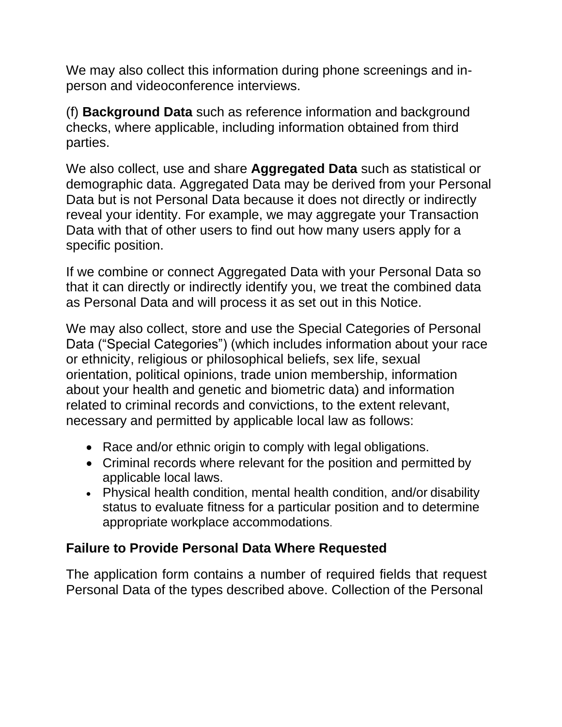We may also collect this information during phone screenings and inperson and videoconference interviews.

(f) **Background Data** such as reference information and background checks, where applicable, including information obtained from third parties.

We also collect, use and share **Aggregated Data** such as statistical or demographic data. Aggregated Data may be derived from your Personal Data but is not Personal Data because it does not directly or indirectly reveal your identity. For example, we may aggregate your Transaction Data with that of other users to find out how many users apply for a specific position.

If we combine or connect Aggregated Data with your Personal Data so that it can directly or indirectly identify you, we treat the combined data as Personal Data and will process it as set out in this Notice.

We may also collect, store and use the Special Categories of Personal Data ("Special Categories") (which includes information about your race or ethnicity, religious or philosophical beliefs, sex life, sexual orientation, political opinions, trade union membership, information about your health and genetic and biometric data) and information related to criminal records and convictions, to the extent relevant, necessary and permitted by applicable local law as follows:

- Race and/or ethnic origin to comply with legal obligations.
- Criminal records where relevant for the position and permitted by applicable local laws.
- Physical health condition, mental health condition, and/or disability status to evaluate fitness for a particular position and to determine appropriate workplace accommodations.

#### **Failure to Provide Personal Data Where Requested**

The application form contains a number of required fields that request Personal Data of the types described above. Collection of the Personal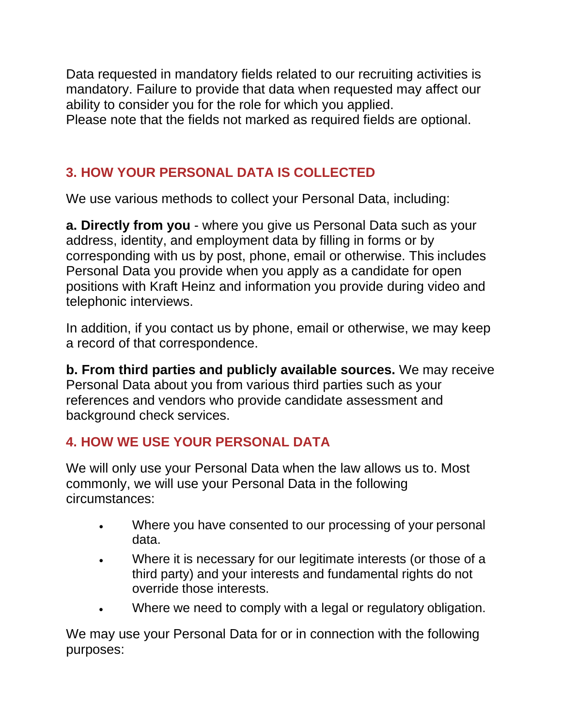Data requested in mandatory fields related to our recruiting activities is mandatory. Failure to provide that data when requested may affect our ability to consider you for the role for which you applied. Please note that the fields not marked as required fields are optional.

# **3. HOW YOUR PERSONAL DATA IS COLLECTED**

We use various methods to collect your Personal Data, including:

**a. Directly from you** - where you give us Personal Data such as your address, identity, and employment data by filling in forms or by corresponding with us by post, phone, email or otherwise. This includes Personal Data you provide when you apply as a candidate for open positions with Kraft Heinz and information you provide during video and telephonic interviews.

In addition, if you contact us by phone, email or otherwise, we may keep a record of that correspondence.

**b. From third parties and publicly available sources.** We may receive Personal Data about you from various third parties such as your references and vendors who provide candidate assessment and background check services.

#### **4. HOW WE USE YOUR PERSONAL DATA**

We will only use your Personal Data when the law allows us to. Most commonly, we will use your Personal Data in the following circumstances:

- Where you have consented to our processing of your personal data.
- Where it is necessary for our legitimate interests (or those of a third party) and your interests and fundamental rights do not override those interests.
- Where we need to comply with a legal or regulatory obligation.

We may use your Personal Data for or in connection with the following purposes: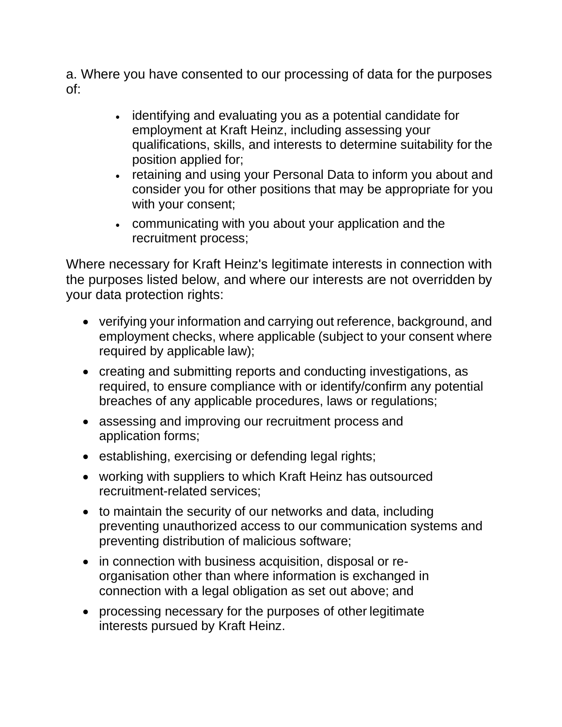a. Where you have consented to our processing of data for the purposes of:

- identifying and evaluating you as a potential candidate for employment at Kraft Heinz, including assessing your qualifications, skills, and interests to determine suitability for the position applied for;
- retaining and using your Personal Data to inform you about and consider you for other positions that may be appropriate for you with your consent;
- communicating with you about your application and the recruitment process;

Where necessary for Kraft Heinz's legitimate interests in connection with the purposes listed below, and where our interests are not overridden by your data protection rights:

- verifying your information and carrying out reference, background, and employment checks, where applicable (subject to your consent where required by applicable law);
- creating and submitting reports and conducting investigations, as required, to ensure compliance with or identify/confirm any potential breaches of any applicable procedures, laws or regulations;
- assessing and improving our recruitment process and application forms;
- establishing, exercising or defending legal rights;
- working with suppliers to which Kraft Heinz has outsourced recruitment-related services;
- to maintain the security of our networks and data, including preventing unauthorized access to our communication systems and preventing distribution of malicious software;
- in connection with business acquisition, disposal or reorganisation other than where information is exchanged in connection with a legal obligation as set out above; and
- processing necessary for the purposes of other legitimate interests pursued by Kraft Heinz.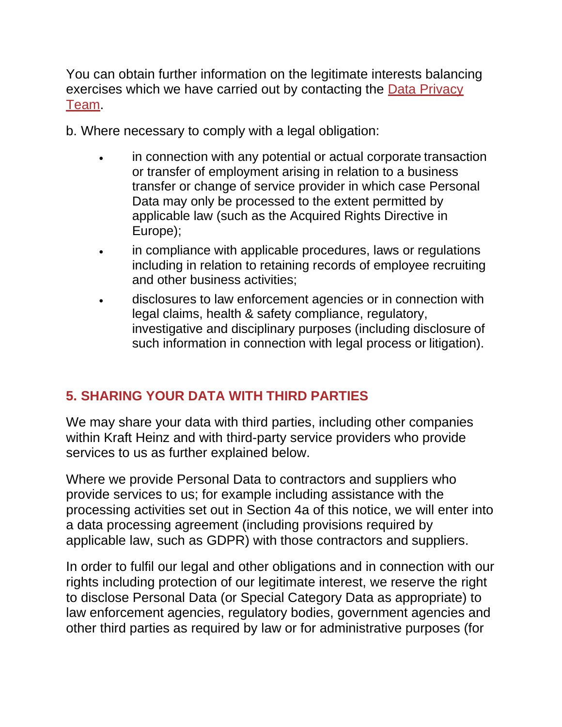You can obtain further information on the legitimate interests balancing exercises which we have carried out by contacting the **Data Privacy** [Team.](mailto:gdpr@kraftheinz.com)

b. Where necessary to comply with a legal obligation:

- in connection with any potential or actual corporate transaction or transfer of employment arising in relation to a business transfer or change of service provider in which case Personal Data may only be processed to the extent permitted by applicable law (such as the Acquired Rights Directive in Europe);
- in compliance with applicable procedures, laws or regulations including in relation to retaining records of employee recruiting and other business activities;
- disclosures to law enforcement agencies or in connection with legal claims, health & safety compliance, regulatory, investigative and disciplinary purposes (including disclosure of such information in connection with legal process or litigation).

## **5. SHARING YOUR DATA WITH THIRD PARTIES**

We may share your data with third parties, including other companies within Kraft Heinz and with third-party service providers who provide services to us as further explained below.

Where we provide Personal Data to contractors and suppliers who provide services to us; for example including assistance with the processing activities set out in Section 4a of this notice, we will enter into a data processing agreement (including provisions required by applicable law, such as GDPR) with those contractors and suppliers.

In order to fulfil our legal and other obligations and in connection with our rights including protection of our legitimate interest, we reserve the right to disclose Personal Data (or Special Category Data as appropriate) to law enforcement agencies, regulatory bodies, government agencies and other third parties as required by law or for administrative purposes (for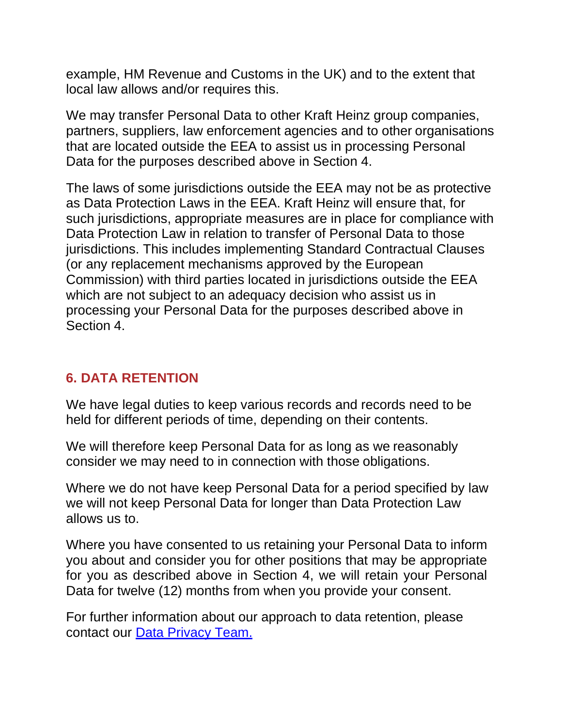example, HM Revenue and Customs in the UK) and to the extent that local law allows and/or requires this.

We may transfer Personal Data to other Kraft Heinz group companies, partners, suppliers, law enforcement agencies and to other organisations that are located outside the EEA to assist us in processing Personal Data for the purposes described above in Section 4.

The laws of some jurisdictions outside the EEA may not be as protective as Data Protection Laws in the EEA. Kraft Heinz will ensure that, for such jurisdictions, appropriate measures are in place for compliance with Data Protection Law in relation to transfer of Personal Data to those jurisdictions. This includes implementing Standard Contractual Clauses (or any replacement mechanisms approved by the European Commission) with third parties located in jurisdictions outside the EEA which are not subject to an adequacy decision who assist us in processing your Personal Data for the purposes described above in Section 4.

#### **6. DATA RETENTION**

We have legal duties to keep various records and records need to be held for different periods of time, depending on their contents.

We will therefore keep Personal Data for as long as we reasonably consider we may need to in connection with those obligations.

Where we do not have keep Personal Data for a period specified by law we will not keep Personal Data for longer than Data Protection Law allows us to.

Where you have consented to us retaining your Personal Data to inform you about and consider you for other positions that may be appropriate for you as described above in Section 4, we will retain your Personal Data for twelve (12) months from when you provide your consent.

For further information about our approach to data retention, please contact our [Data Privacy Team.](mailto:GDPR@kraftheinz.com)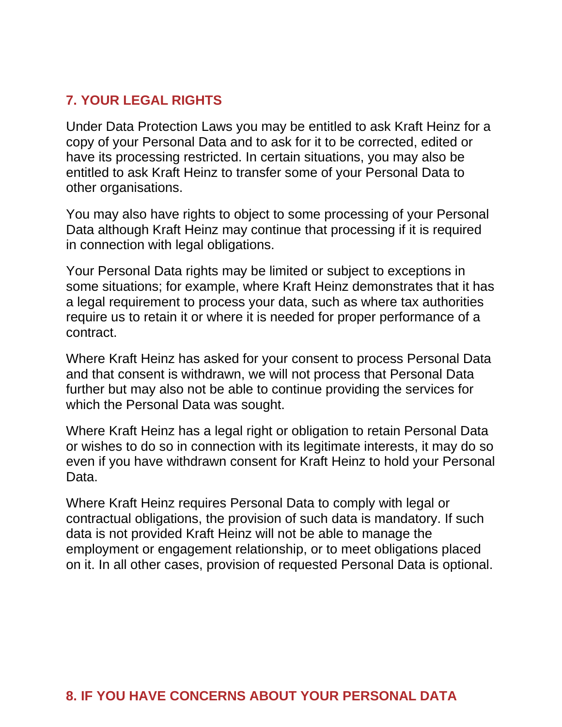#### **7. YOUR LEGAL RIGHTS**

Under Data Protection Laws you may be entitled to ask Kraft Heinz for a copy of your Personal Data and to ask for it to be corrected, edited or have its processing restricted. In certain situations, you may also be entitled to ask Kraft Heinz to transfer some of your Personal Data to other organisations.

You may also have rights to object to some processing of your Personal Data although Kraft Heinz may continue that processing if it is required in connection with legal obligations.

Your Personal Data rights may be limited or subject to exceptions in some situations; for example, where Kraft Heinz demonstrates that it has a legal requirement to process your data, such as where tax authorities require us to retain it or where it is needed for proper performance of a contract.

Where Kraft Heinz has asked for your consent to process Personal Data and that consent is withdrawn, we will not process that Personal Data further but may also not be able to continue providing the services for which the Personal Data was sought.

Where Kraft Heinz has a legal right or obligation to retain Personal Data or wishes to do so in connection with its legitimate interests, it may do so even if you have withdrawn consent for Kraft Heinz to hold your Personal Data.

Where Kraft Heinz requires Personal Data to comply with legal or contractual obligations, the provision of such data is mandatory. If such data is not provided Kraft Heinz will not be able to manage the employment or engagement relationship, or to meet obligations placed on it. In all other cases, provision of requested Personal Data is optional.